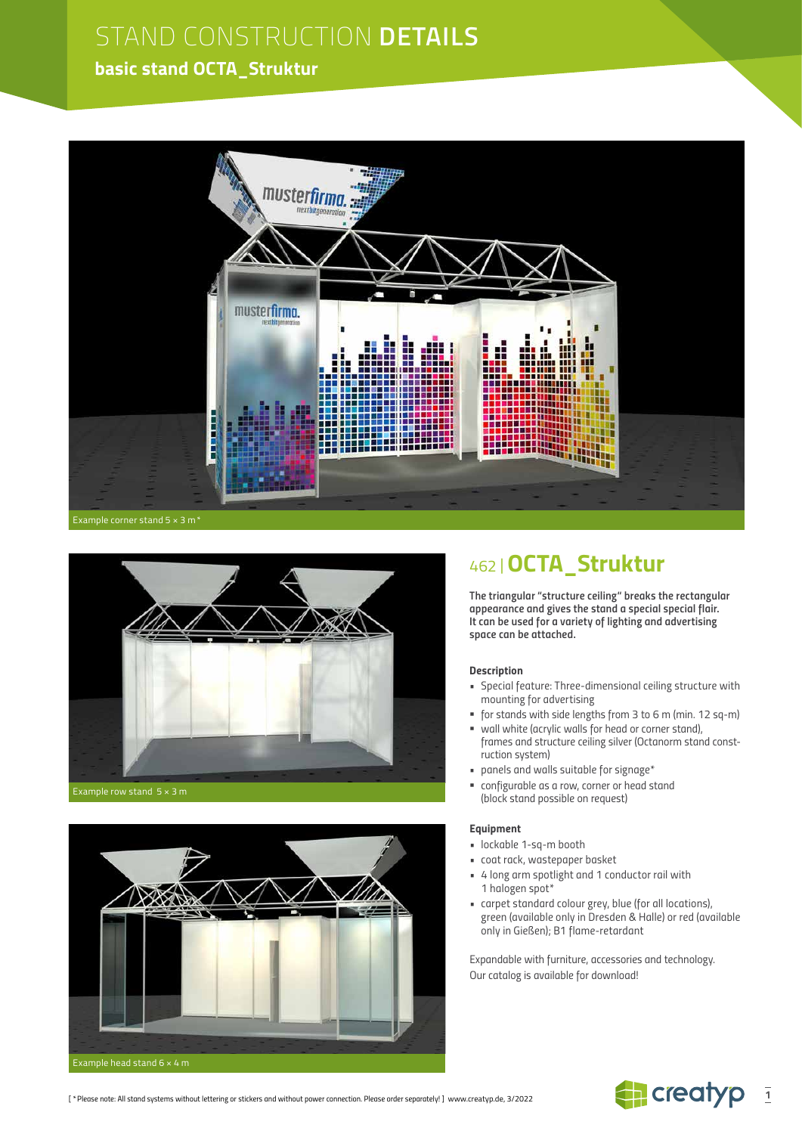## STAND CONSTRUCTION **DETAILS**

## **basic stand OCTA\_Struktur**





Example row stand 5 × 3 m



## 462 |**OCTA\_Struktur**

*The triangular "structure ceiling" breaks the rectangular appearance and gives the stand a special special flair. It can be used for a variety of lighting and advertising space can be attached.*

#### *Description*

- *Special feature: Three-dimensional ceiling structure with mounting for advertising*
- *for stands with side lengths from 3 to 6 m (min. 12 sq-m)*
- *wall white (acrylic walls for head or corner stand), frames and structure ceiling silver (Octanorm stand construction system)*
- *panels and walls suitable for signage\**
- *configurable as a row, corner or head stand (block stand possible on request)*

#### *Equipment*

- *lockable 1-sq-m booth*
- *coat rack, wastepaper basket*
- *4 long arm spotlight and 1 conductor rail with 1 halogen spot\**
- *carpet standard colour grey, blue (for all locations), green (available only in Dresden & Halle) or red (available only in Gießen); B1 flame-retardant*

*Expandable with furniture, accessories and technology. Our catalog is available for download!*

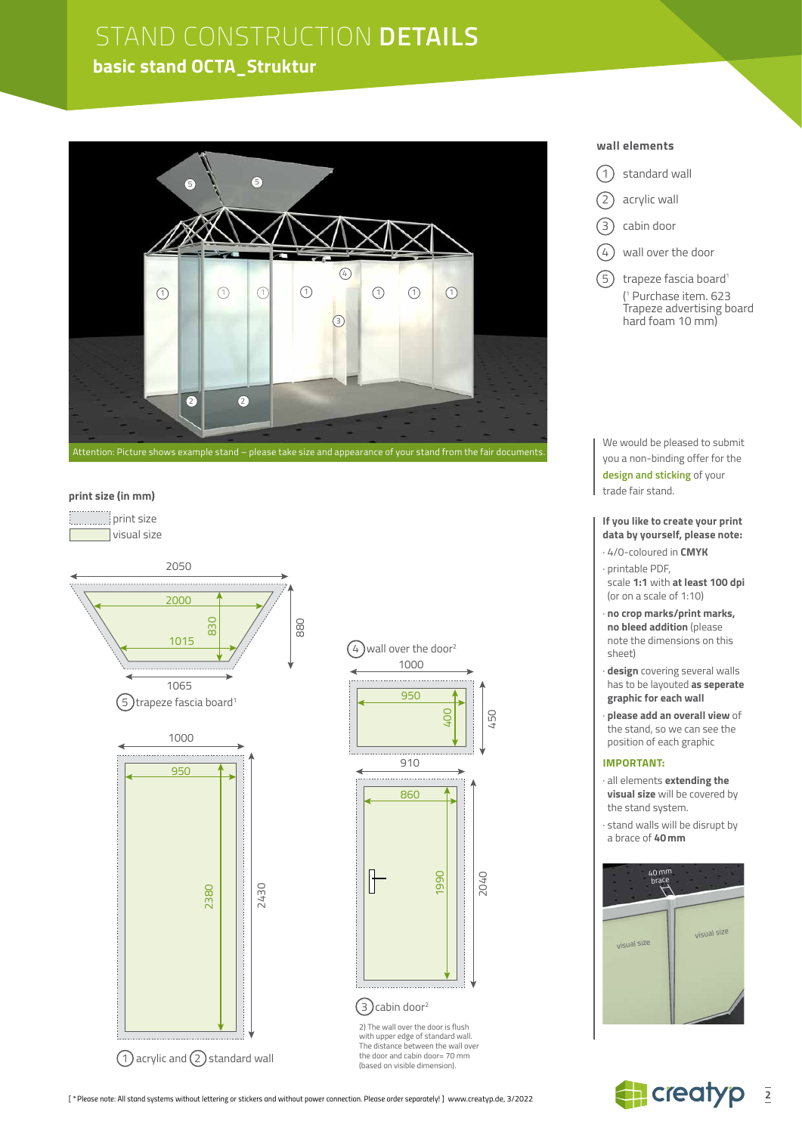## STAND CONSTRUCTION **DETAILS basic stand OCTA\_Struktur**



#### **print size (in mm)**

 print size visual size





2) The wall over the door is flush with upper edge of standard wall. The distance between the wall over the door and cabin door= 70 mm (based on visible dimension).

### $(1)$  standard wall

2) acrylic wall

**wall elements**

- 3) cabin door
- $(4)$  wall over the door
- $(5)$  trapeze fascia board<sup>1</sup> ( 1 Purchase item. 623 Trapeze advertising board hard foam 10 mm)

We would be pleased to submit you a non-binding offer for the **design and sticking** of your trade fair stand.

**If you like to create your print data by yourself, please note:**

- · 4/0-coloured in **CMYK**
- · printable PDF, scale **1:1** with **at least 100 dpi**
- (or on a scale of 1:10)
- · **no crop marks/print marks, no bleed addition** (please note the dimensions on this sheet)
- · **design** covering several walls has to be layouted **as seperate graphic for each wall**
- · **please add an overall view** of the stand, so we can see the position of each graphic

#### **IMPORTANT:**

- · all elements **extending the visual size** will be covered by the stand system.
- · stand walls will be disrupt by a brace of **40mm**



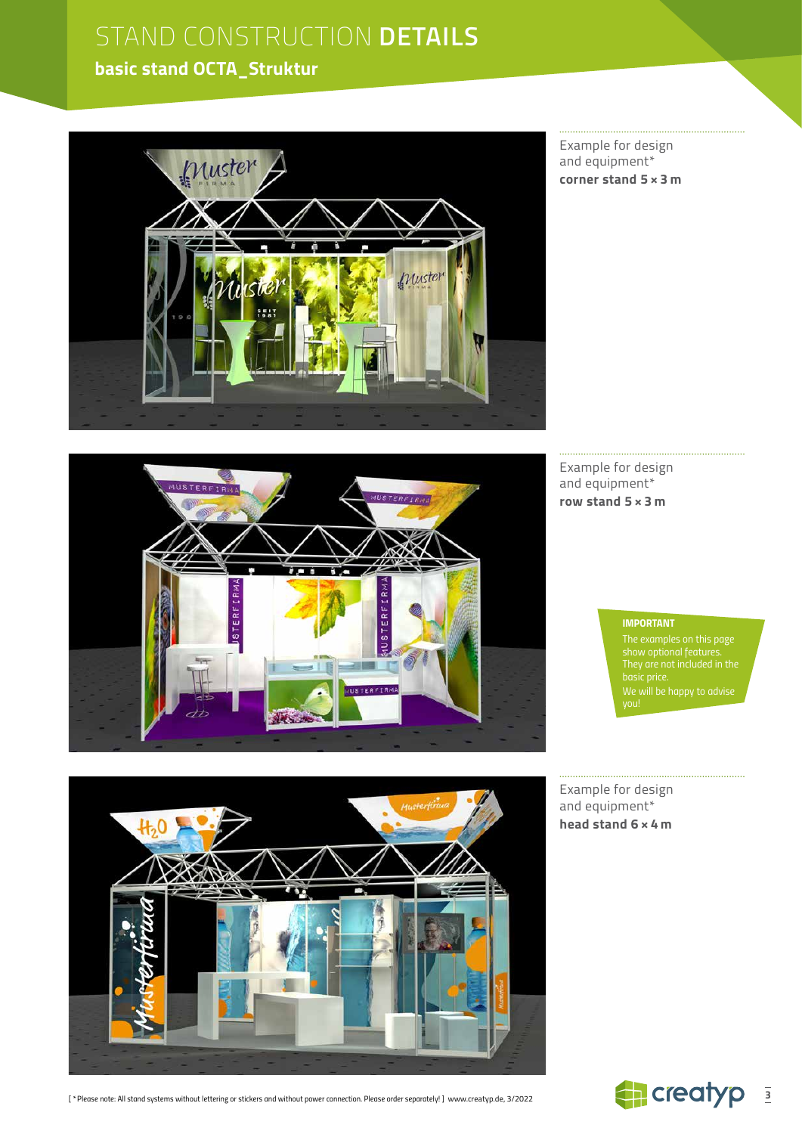# STAND CONSTRUCTION **DETAILS**

## **basic stand OCTA\_Struktur**



Example for design and equipment\* **corner stand 5 × 3 m**



Example for design and equipment\* **row stand 5 × 3 m**

#### *IMPORTANT*

*The examples on this page show optional features. We will be happy to advise* 



Example for design and equipment\* **head stand 6 × 4 m**